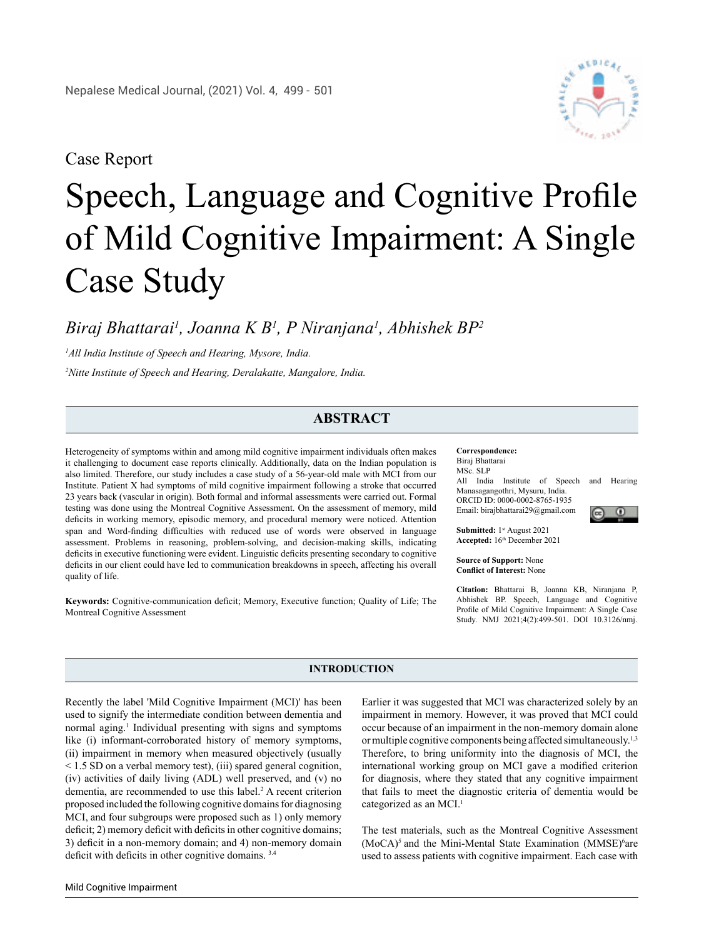## Case Report

# Speech, Language and Cognitive Profile of Mild Cognitive Impairment: A Single Case Study

### *Biraj Bhattarai1 , Joanna K B1 , P Niranjana1 , Abhishek BP2*

*1 All India Institute of Speech and Hearing, Mysore, India.*

*2 Nitte Institute of Speech and Hearing, Deralakatte, Mangalore, India.*

#### **ABSTRACT**

Heterogeneity of symptoms within and among mild cognitive impairment individuals often makes it challenging to document case reports clinically. Additionally, data on the Indian population is also limited. Therefore, our study includes a case study of a 56-year-old male with MCI from our Institute. Patient X had symptoms of mild cognitive impairment following a stroke that occurred 23 years back (vascular in origin). Both formal and informal assessments were carried out. Formal testing was done using the Montreal Cognitive Assessment. On the assessment of memory, mild deficits in working memory, episodic memory, and procedural memory were noticed. Attention span and Word-finding difficulties with reduced use of words were observed in language assessment. Problems in reasoning, problem-solving, and decision-making skills, indicating deficits in executive functioning were evident. Linguistic deficits presenting secondary to cognitive deficits in our client could have led to communication breakdowns in speech, affecting his overall quality of life.

**Keywords:** Cognitive-communication deficit; Memory, Executive function; Quality of Life; The Montreal Cognitive Assessment

**Correspondence:**  Biraj Bhattarai MSc. SLP All India Institute of Speech and Hearing Manasagangothri, Mysuru, India. ORCID ID: 0000-0002-8765-1935 Email: birajbhattarai29@gmail.com

**Submitted:** 1st August 2021 **Accepted:** 16th December 2021

**Source of Support:** None **Conflict of Interest:** None

**Citation:** Bhattarai B, Joanna KB, Niranjana P, Abhishek BP. Speech, Language and Cognitive Profile of Mild Cognitive Impairment: A Single Case Study. NMJ 2021;4(2):499-501. DOI 10.3126/nmj.

#### **INTRODUCTION**

Recently the label 'Mild Cognitive Impairment (MCI)' has been used to signify the intermediate condition between dementia and normal aging.<sup>1</sup> Individual presenting with signs and symptoms like (i) informant-corroborated history of memory symptoms, (ii) impairment in memory when measured objectively (usually < 1.5 SD on a verbal memory test), (iii) spared general cognition, (iv) activities of daily living (ADL) well preserved, and (v) no dementia, are recommended to use this label.<sup>2</sup> A recent criterion proposed included the following cognitive domains for diagnosing MCI, and four subgroups were proposed such as 1) only memory deficit; 2) memory deficit with deficits in other cognitive domains; 3) deficit in a non-memory domain; and 4) non-memory domain deficit with deficits in other cognitive domains. 3.4

Earlier it was suggested that MCI was characterized solely by an impairment in memory. However, it was proved that MCI could occur because of an impairment in the non-memory domain alone or multiple cognitive components being affected simultaneously.1,3 Therefore, to bring uniformity into the diagnosis of MCI, the international working group on MCI gave a modified criterion for diagnosis, where they stated that any cognitive impairment that fails to meet the diagnostic criteria of dementia would be categorized as an MCI.<sup>1</sup>

The test materials, such as the Montreal Cognitive Assessment  $(MoCA)<sup>5</sup>$  and the Mini-Mental State Examination (MMSE)<sup>6</sup>are used to assess patients with cognitive impairment. Each case with



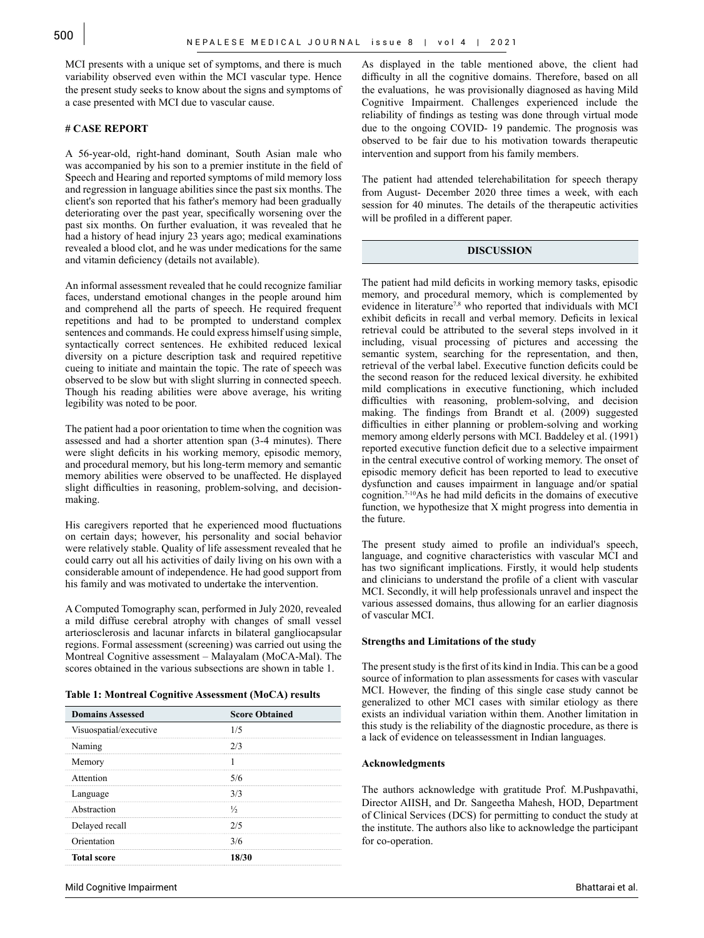MCI presents with a unique set of symptoms, and there is much variability observed even within the MCI vascular type. Hence the present study seeks to know about the signs and symptoms of a case presented with MCI due to vascular cause.

#### **# CASE REPORT**

A 56-year-old, right-hand dominant, South Asian male who was accompanied by his son to a premier institute in the field of Speech and Hearing and reported symptoms of mild memory loss and regression in language abilities since the past six months. The client's son reported that his father's memory had been gradually deteriorating over the past year, specifically worsening over the past six months. On further evaluation, it was revealed that he had a history of head injury 23 years ago; medical examinations revealed a blood clot, and he was under medications for the same and vitamin deficiency (details not available).

An informal assessment revealed that he could recognize familiar faces, understand emotional changes in the people around him and comprehend all the parts of speech. He required frequent repetitions and had to be prompted to understand complex sentences and commands. He could express himself using simple, syntactically correct sentences. He exhibited reduced lexical diversity on a picture description task and required repetitive cueing to initiate and maintain the topic. The rate of speech was observed to be slow but with slight slurring in connected speech. Though his reading abilities were above average, his writing legibility was noted to be poor.

The patient had a poor orientation to time when the cognition was assessed and had a shorter attention span (3-4 minutes). There were slight deficits in his working memory, episodic memory, and procedural memory, but his long-term memory and semantic memory abilities were observed to be unaffected. He displayed slight difficulties in reasoning, problem-solving, and decisionmaking.

His caregivers reported that he experienced mood fluctuations on certain days; however, his personality and social behavior were relatively stable. Quality of life assessment revealed that he could carry out all his activities of daily living on his own with a considerable amount of independence. He had good support from his family and was motivated to undertake the intervention.

A Computed Tomography scan, performed in July 2020, revealed a mild diffuse cerebral atrophy with changes of small vessel arteriosclerosis and lacunar infarcts in bilateral gangliocapsular regions. Formal assessment (screening) was carried out using the Montreal Cognitive assessment – Malayalam (MoCA-Mal). The scores obtained in the various subsections are shown in table 1.

**Table 1: Montreal Cognitive Assessment (MoCA) results**

| <b>Domains Assessed</b> | <b>Score Obtained</b> |
|-------------------------|-----------------------|
| Visuospatial/executive  | 1/5                   |
| Naming                  |                       |
| Memory                  |                       |
| Attention               | 5/6                   |
| Language                | 373                   |
| Abstraction             | ⅓                     |
| Delayed recall          | 2/5                   |
| Orientation             | 3/6                   |
| <b>Total score</b>      | 18/30                 |

As displayed in the table mentioned above, the client had difficulty in all the cognitive domains. Therefore, based on all the evaluations, he was provisionally diagnosed as having Mild Cognitive Impairment. Challenges experienced include the reliability of findings as testing was done through virtual mode due to the ongoing COVID- 19 pandemic. The prognosis was observed to be fair due to his motivation towards therapeutic intervention and support from his family members.

The patient had attended telerehabilitation for speech therapy from August- December 2020 three times a week, with each session for 40 minutes. The details of the therapeutic activities will be profiled in a different paper.

#### **DISCUSSION**

The patient had mild deficits in working memory tasks, episodic memory, and procedural memory, which is complemented by evidence in literature<sup>7,8</sup> who reported that individuals with MCI exhibit deficits in recall and verbal memory. Deficits in lexical retrieval could be attributed to the several steps involved in it including, visual processing of pictures and accessing the semantic system, searching for the representation, and then, retrieval of the verbal label. Executive function deficits could be the second reason for the reduced lexical diversity. he exhibited mild complications in executive functioning, which included difficulties with reasoning, problem-solving, and decision making. The findings from Brandt et al. (2009) suggested difficulties in either planning or problem-solving and working memory among elderly persons with MCI. Baddeley et al. (1991) reported executive function deficit due to a selective impairment in the central executive control of working memory. The onset of episodic memory deficit has been reported to lead to executive dysfunction and causes impairment in language and/or spatial cognition.7-10As he had mild deficits in the domains of executive function, we hypothesize that X might progress into dementia in the future.

The present study aimed to profile an individual's speech, language, and cognitive characteristics with vascular MCI and has two significant implications. Firstly, it would help students and clinicians to understand the profile of a client with vascular MCI. Secondly, it will help professionals unravel and inspect the various assessed domains, thus allowing for an earlier diagnosis of vascular MCI.

#### **Strengths and Limitations of the study**

The present study is the first of its kind in India. This can be a good source of information to plan assessments for cases with vascular MCI. However, the finding of this single case study cannot be generalized to other MCI cases with similar etiology as there exists an individual variation within them. Another limitation in this study is the reliability of the diagnostic procedure, as there is a lack of evidence on teleassessment in Indian languages.

#### **Acknowledgments**

The authors acknowledge with gratitude Prof. M.Pushpavathi, Director AIISH, and Dr. Sangeetha Mahesh, HOD, Department of Clinical Services (DCS) for permitting to conduct the study at the institute. The authors also like to acknowledge the participant for co-operation.